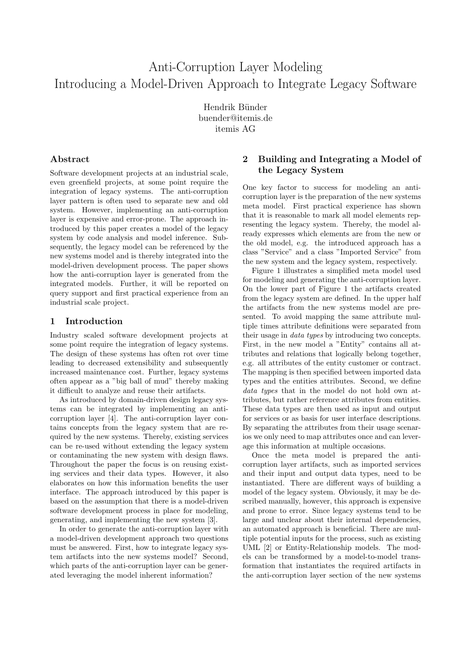# Anti-Corruption Layer Modeling Introducing a Model-Driven Approach to Integrate Legacy Software

Hendrik Bünder buender@itemis.de itemis AG

## Abstract

Software development projects at an industrial scale, even greenfield projects, at some point require the integration of legacy systems. The anti-corruption layer pattern is often used to separate new and old system. However, implementing an anti-corruption layer is expensive and error-prone. The approach introduced by this paper creates a model of the legacy system by code analysis and model inference. Subsequently, the legacy model can be referenced by the new systems model and is thereby integrated into the model-driven development process. The paper shows how the anti-corruption layer is generated from the integrated models. Further, it will be reported on query support and first practical experience from an industrial scale project.

## 1 Introduction

Industry scaled software development projects at some point require the integration of legacy systems. The design of these systems has often rot over time leading to decreased extensibility and subsequently increased maintenance cost. Further, legacy systems often appear as a "big ball of mud" thereby making it difficult to analyze and reuse their artifacts.

As introduced by domain-driven design legacy systems can be integrated by implementing an anticorruption layer [4]. The anti-corruption layer contains concepts from the legacy system that are required by the new systems. Thereby, existing services can be re-used without extending the legacy system or contaminating the new system with design flaws. Throughout the paper the focus is on reusing existing services and their data types. However, it also elaborates on how this information benefits the user interface. The approach introduced by this paper is based on the assumption that there is a model-driven software development process in place for modeling, generating, and implementing the new system [3].

In order to generate the anti-corruption layer with a model-driven development approach two questions must be answered. First, how to integrate legacy system artifacts into the new systems model? Second, which parts of the anti-corruption layer can be generated leveraging the model inherent information?

# 2 Building and Integrating a Model of the Legacy System

One key factor to success for modeling an anticorruption layer is the preparation of the new systems meta model. First practical experience has shown that it is reasonable to mark all model elements representing the legacy system. Thereby, the model already expresses which elements are from the new or the old model, e.g. the introduced approach has a class "Service" and a class "Imported Service" from the new system and the legacy system, respectively.

Figure 1 illustrates a simplified meta model used for modeling and generating the anti-corruption layer. On the lower part of Figure 1 the artifacts created from the legacy system are defined. In the upper half the artifacts from the new systems model are presented. To avoid mapping the same attribute multiple times attribute definitions were separated from their usage in data types by introducing two concepts. First, in the new model a "Entity" contains all attributes and relations that logically belong together, e.g. all attributes of the entity customer or contract. The mapping is then specified between imported data types and the entities attributes. Second, we define data types that in the model do not hold own attributes, but rather reference attributes from entities. These data types are then used as input and output for services or as basis for user interface descriptions. By separating the attributes from their usage scenarios we only need to map attributes once and can leverage this information at multiple occasions.

Once the meta model is prepared the anticorruption layer artifacts, such as imported services and their input and output data types, need to be instantiated. There are different ways of building a model of the legacy system. Obviously, it may be described manually, however, this approach is expensive and prone to error. Since legacy systems tend to be large and unclear about their internal dependencies, an automated approach is beneficial. There are multiple potential inputs for the process, such as existing UML [2] or Entity-Relationship models. The models can be transformed by a model-to-model transformation that instantiates the required artifacts in the anti-corruption layer section of the new systems